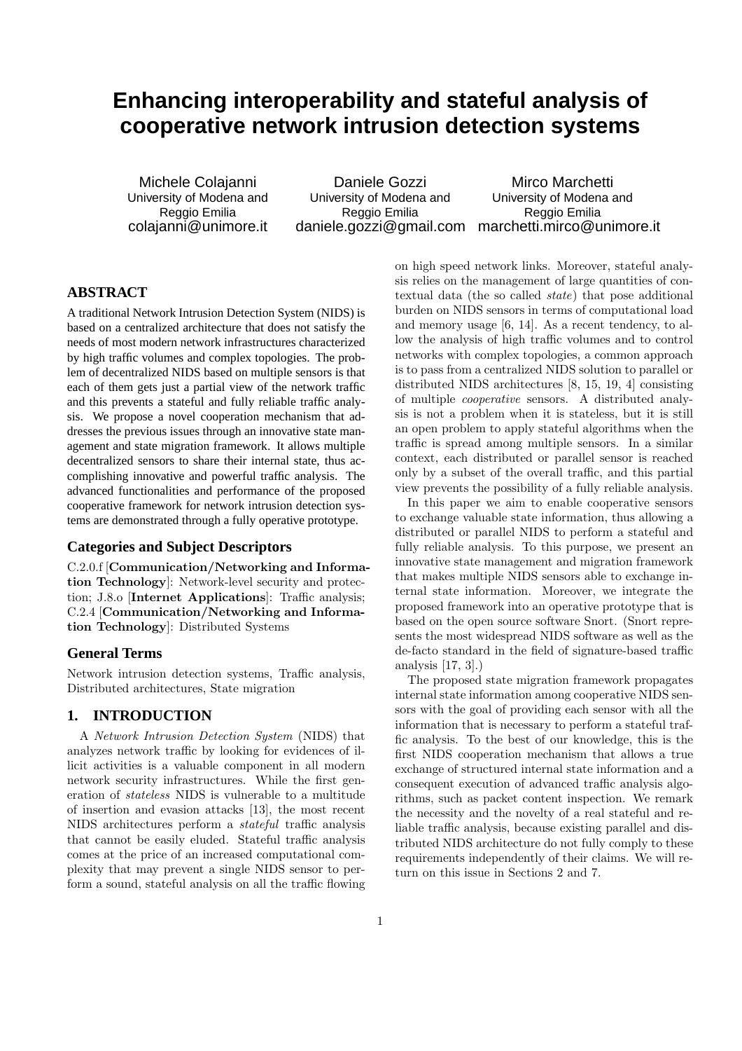# **Enhancing interoperability and stateful analysis of cooperative network intrusion detection systems**

Michele Colajanni University of Modena and Reggio Emilia colajanni@unimore.it

Daniele Gozzi University of Modena and Reggio Emilia

daniele.gozzi@gmail.com marchetti.mirco@unimore.it Mirco Marchetti University of Modena and Reggio Emilia

# **ABSTRACT**

A traditional Network Intrusion Detection System (NIDS) is based on a centralized architecture that does not satisfy the needs of most modern network infrastructures characterized by high traffic volumes and complex topologies. The problem of decentralized NIDS based on multiple sensors is that each of them gets just a partial view of the network traffic and this prevents a stateful and fully reliable traffic analysis. We propose a novel cooperation mechanism that addresses the previous issues through an innovative state management and state migration framework. It allows multiple decentralized sensors to share their internal state, thus accomplishing innovative and powerful traffic analysis. The advanced functionalities and performance of the proposed cooperative framework for network intrusion detection systems are demonstrated through a fully operative prototype.

#### **Categories and Subject Descriptors**

C.2.0.f [Communication/Networking and Information Technology]: Network-level security and protection; J.8.o [Internet Applications]: Traffic analysis; C.2.4 [Communication/Networking and Information Technology]: Distributed Systems

# **General Terms**

Network intrusion detection systems, Traffic analysis, Distributed architectures, State migration

# **1. INTRODUCTION**

A Network Intrusion Detection System (NIDS) that analyzes network traffic by looking for evidences of illicit activities is a valuable component in all modern network security infrastructures. While the first generation of stateless NIDS is vulnerable to a multitude of insertion and evasion attacks [13], the most recent NIDS architectures perform a stateful traffic analysis that cannot be easily eluded. Stateful traffic analysis comes at the price of an increased computational complexity that may prevent a single NIDS sensor to perform a sound, stateful analysis on all the traffic flowing

on high speed network links. Moreover, stateful analysis relies on the management of large quantities of contextual data (the so called state) that pose additional burden on NIDS sensors in terms of computational load and memory usage [6, 14]. As a recent tendency, to allow the analysis of high traffic volumes and to control networks with complex topologies, a common approach is to pass from a centralized NIDS solution to parallel or distributed NIDS architectures [8, 15, 19, 4] consisting of multiple cooperative sensors. A distributed analysis is not a problem when it is stateless, but it is still an open problem to apply stateful algorithms when the traffic is spread among multiple sensors. In a similar context, each distributed or parallel sensor is reached only by a subset of the overall traffic, and this partial view prevents the possibility of a fully reliable analysis.

In this paper we aim to enable cooperative sensors to exchange valuable state information, thus allowing a distributed or parallel NIDS to perform a stateful and fully reliable analysis. To this purpose, we present an innovative state management and migration framework that makes multiple NIDS sensors able to exchange internal state information. Moreover, we integrate the proposed framework into an operative prototype that is based on the open source software Snort. (Snort represents the most widespread NIDS software as well as the de-facto standard in the field of signature-based traffic analysis [17, 3].)

The proposed state migration framework propagates internal state information among cooperative NIDS sensors with the goal of providing each sensor with all the information that is necessary to perform a stateful traffic analysis. To the best of our knowledge, this is the first NIDS cooperation mechanism that allows a true exchange of structured internal state information and a consequent execution of advanced traffic analysis algorithms, such as packet content inspection. We remark the necessity and the novelty of a real stateful and reliable traffic analysis, because existing parallel and distributed NIDS architecture do not fully comply to these requirements independently of their claims. We will return on this issue in Sections 2 and 7.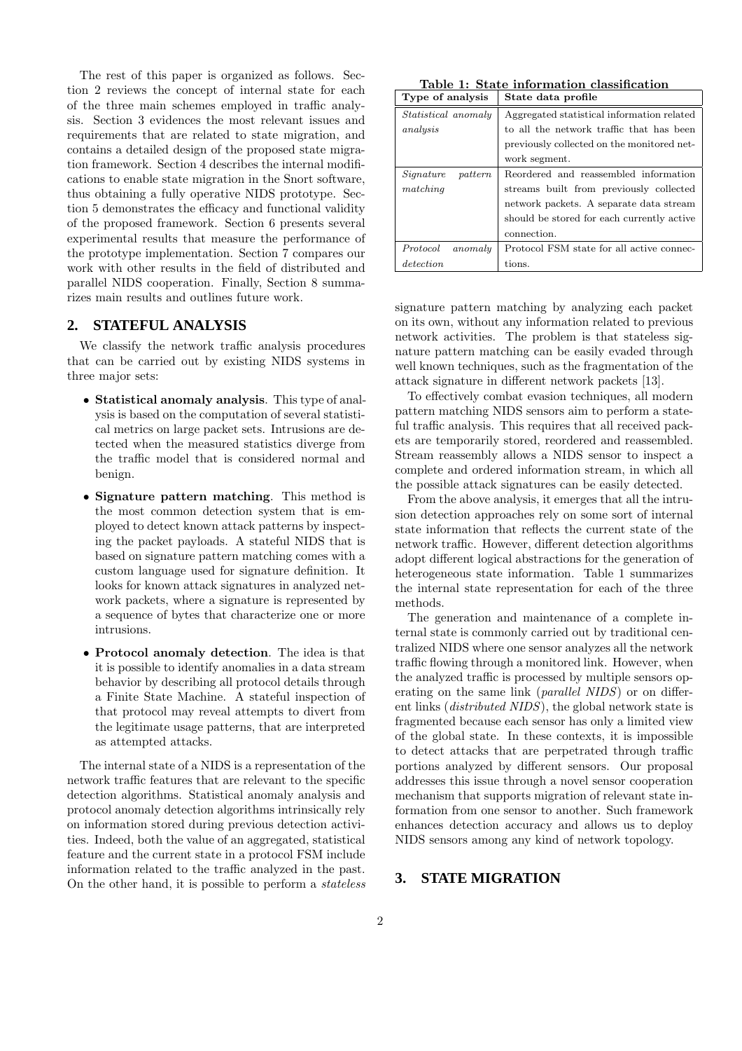The rest of this paper is organized as follows. Section 2 reviews the concept of internal state for each of the three main schemes employed in traffic analysis. Section 3 evidences the most relevant issues and requirements that are related to state migration, and contains a detailed design of the proposed state migration framework. Section 4 describes the internal modifications to enable state migration in the Snort software, thus obtaining a fully operative NIDS prototype. Section 5 demonstrates the efficacy and functional validity of the proposed framework. Section 6 presents several experimental results that measure the performance of the prototype implementation. Section 7 compares our work with other results in the field of distributed and parallel NIDS cooperation. Finally, Section 8 summarizes main results and outlines future work.

# **2. STATEFUL ANALYSIS**

We classify the network traffic analysis procedures that can be carried out by existing NIDS systems in three major sets:

- Statistical anomaly analysis. This type of analysis is based on the computation of several statistical metrics on large packet sets. Intrusions are detected when the measured statistics diverge from the traffic model that is considered normal and benign.
- Signature pattern matching. This method is the most common detection system that is employed to detect known attack patterns by inspecting the packet payloads. A stateful NIDS that is based on signature pattern matching comes with a custom language used for signature definition. It looks for known attack signatures in analyzed network packets, where a signature is represented by a sequence of bytes that characterize one or more intrusions.
- Protocol anomaly detection. The idea is that it is possible to identify anomalies in a data stream behavior by describing all protocol details through a Finite State Machine. A stateful inspection of that protocol may reveal attempts to divert from the legitimate usage patterns, that are interpreted as attempted attacks.

The internal state of a NIDS is a representation of the network traffic features that are relevant to the specific detection algorithms. Statistical anomaly analysis and protocol anomaly detection algorithms intrinsically rely on information stored during previous detection activities. Indeed, both the value of an aggregated, statistical feature and the current state in a protocol FSM include information related to the traffic analyzed in the past. On the other hand, it is possible to perform a stateless

Table 1: State information classification  $\sqrt{\frac{\text{Tvne of analysis}}{\text{State}}}\$ 

| 1,100,01,010,010           | Deave gava prome                           |
|----------------------------|--------------------------------------------|
| <i>Statistical anomaly</i> | Aggregated statistical information related |
| analysis                   | to all the network traffic that has been   |
|                            | previously collected on the monitored net- |
|                            | work segment.                              |
| Signature<br>pattern       | Reordered and reassembled information      |
| matching                   | streams built from previously collected    |
|                            | network packets. A separate data stream    |
|                            | should be stored for each currently active |
|                            | connection.                                |
| Protocol<br>anomaly        | Protocol FSM state for all active connec-  |
| detection                  | tions.                                     |

signature pattern matching by analyzing each packet on its own, without any information related to previous network activities. The problem is that stateless signature pattern matching can be easily evaded through well known techniques, such as the fragmentation of the attack signature in different network packets [13].

To effectively combat evasion techniques, all modern pattern matching NIDS sensors aim to perform a stateful traffic analysis. This requires that all received packets are temporarily stored, reordered and reassembled. Stream reassembly allows a NIDS sensor to inspect a complete and ordered information stream, in which all the possible attack signatures can be easily detected.

From the above analysis, it emerges that all the intrusion detection approaches rely on some sort of internal state information that reflects the current state of the network traffic. However, different detection algorithms adopt different logical abstractions for the generation of heterogeneous state information. Table 1 summarizes the internal state representation for each of the three methods.

The generation and maintenance of a complete internal state is commonly carried out by traditional centralized NIDS where one sensor analyzes all the network traffic flowing through a monitored link. However, when the analyzed traffic is processed by multiple sensors operating on the same link (*parallel NIDS*) or on different links (distributed NIDS), the global network state is fragmented because each sensor has only a limited view of the global state. In these contexts, it is impossible to detect attacks that are perpetrated through traffic portions analyzed by different sensors. Our proposal addresses this issue through a novel sensor cooperation mechanism that supports migration of relevant state information from one sensor to another. Such framework enhances detection accuracy and allows us to deploy NIDS sensors among any kind of network topology.

#### **3. STATE MIGRATION**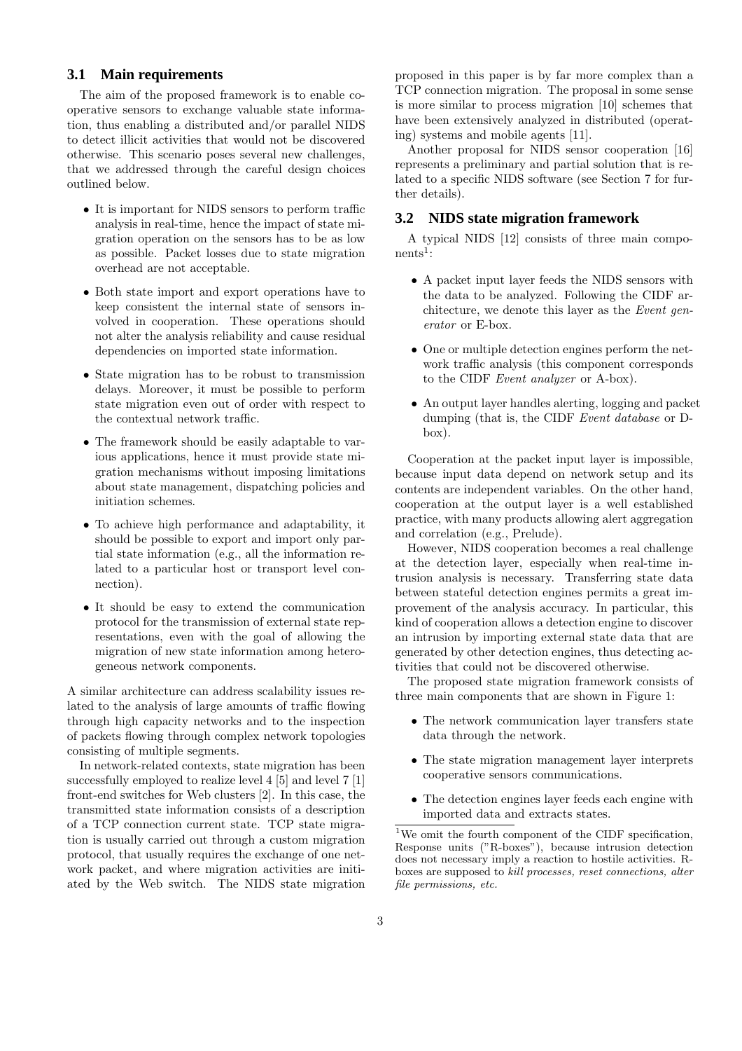# **3.1 Main requirements**

The aim of the proposed framework is to enable cooperative sensors to exchange valuable state information, thus enabling a distributed and/or parallel NIDS to detect illicit activities that would not be discovered otherwise. This scenario poses several new challenges, that we addressed through the careful design choices outlined below.

- It is important for NIDS sensors to perform traffic analysis in real-time, hence the impact of state migration operation on the sensors has to be as low as possible. Packet losses due to state migration overhead are not acceptable.
- Both state import and export operations have to keep consistent the internal state of sensors involved in cooperation. These operations should not alter the analysis reliability and cause residual dependencies on imported state information.
- State migration has to be robust to transmission delays. Moreover, it must be possible to perform state migration even out of order with respect to the contextual network traffic.
- The framework should be easily adaptable to various applications, hence it must provide state migration mechanisms without imposing limitations about state management, dispatching policies and initiation schemes.
- To achieve high performance and adaptability, it should be possible to export and import only partial state information (e.g., all the information related to a particular host or transport level connection).
- It should be easy to extend the communication protocol for the transmission of external state representations, even with the goal of allowing the migration of new state information among heterogeneous network components.

A similar architecture can address scalability issues related to the analysis of large amounts of traffic flowing through high capacity networks and to the inspection of packets flowing through complex network topologies consisting of multiple segments.

In network-related contexts, state migration has been successfully employed to realize level 4 [5] and level 7 [1] front-end switches for Web clusters [2]. In this case, the transmitted state information consists of a description of a TCP connection current state. TCP state migration is usually carried out through a custom migration protocol, that usually requires the exchange of one network packet, and where migration activities are initiated by the Web switch. The NIDS state migration

proposed in this paper is by far more complex than a TCP connection migration. The proposal in some sense is more similar to process migration [10] schemes that have been extensively analyzed in distributed (operating) systems and mobile agents [11].

Another proposal for NIDS sensor cooperation [16] represents a preliminary and partial solution that is related to a specific NIDS software (see Section 7 for further details).

#### **3.2 NIDS state migration framework**

A typical NIDS [12] consists of three main compo $nents<sup>1</sup>$ :

- A packet input layer feeds the NIDS sensors with the data to be analyzed. Following the CIDF architecture, we denote this layer as the Event generator or E-box.
- One or multiple detection engines perform the network traffic analysis (this component corresponds to the CIDF Event analyzer or A-box).
- An output layer handles alerting, logging and packet dumping (that is, the CIDF Event database or Dbox).

Cooperation at the packet input layer is impossible, because input data depend on network setup and its contents are independent variables. On the other hand, cooperation at the output layer is a well established practice, with many products allowing alert aggregation and correlation (e.g., Prelude).

However, NIDS cooperation becomes a real challenge at the detection layer, especially when real-time intrusion analysis is necessary. Transferring state data between stateful detection engines permits a great improvement of the analysis accuracy. In particular, this kind of cooperation allows a detection engine to discover an intrusion by importing external state data that are generated by other detection engines, thus detecting activities that could not be discovered otherwise.

The proposed state migration framework consists of three main components that are shown in Figure 1:

- The network communication layer transfers state data through the network.
- The state migration management layer interprets cooperative sensors communications.
- The detection engines layer feeds each engine with imported data and extracts states.

<sup>1</sup>We omit the fourth component of the CIDF specification, Response units ("R-boxes"), because intrusion detection does not necessary imply a reaction to hostile activities. Rboxes are supposed to kill processes, reset connections, alter file permissions, etc.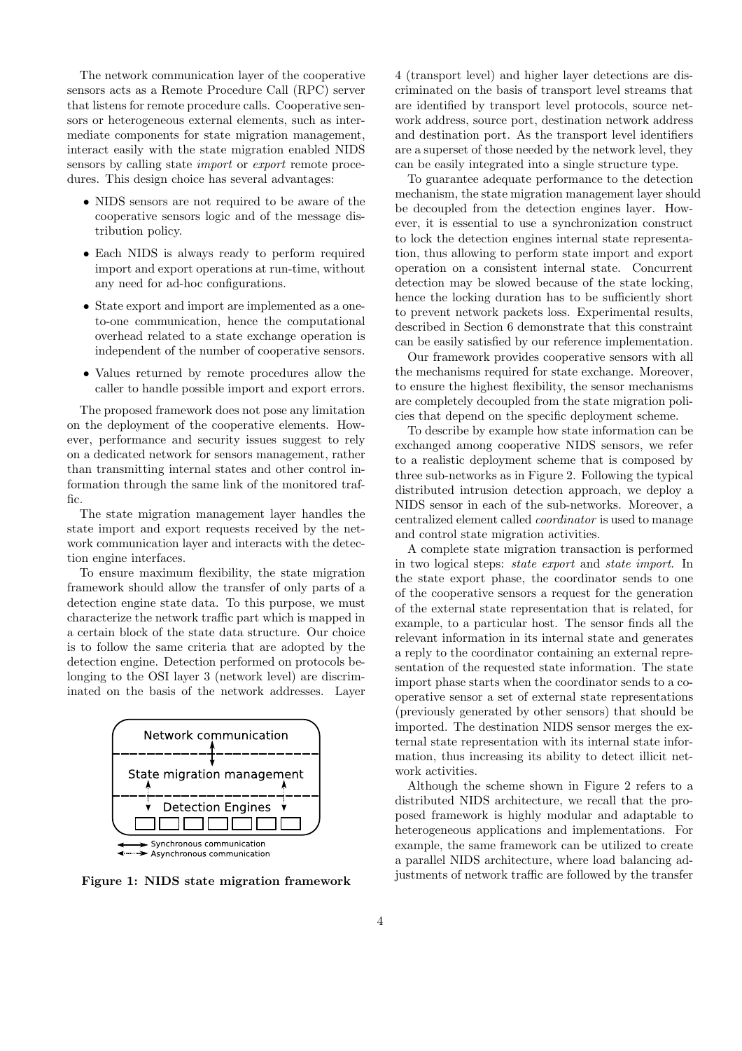The network communication layer of the cooperative sensors acts as a Remote Procedure Call (RPC) server that listens for remote procedure calls. Cooperative sensors or heterogeneous external elements, such as intermediate components for state migration management, interact easily with the state migration enabled NIDS sensors by calling state import or export remote procedures. This design choice has several advantages:

- NIDS sensors are not required to be aware of the cooperative sensors logic and of the message distribution policy.
- Each NIDS is always ready to perform required import and export operations at run-time, without any need for ad-hoc configurations.
- State export and import are implemented as a oneto-one communication, hence the computational overhead related to a state exchange operation is independent of the number of cooperative sensors.
- Values returned by remote procedures allow the caller to handle possible import and export errors.

The proposed framework does not pose any limitation on the deployment of the cooperative elements. However, performance and security issues suggest to rely on a dedicated network for sensors management, rather than transmitting internal states and other control information through the same link of the monitored traffic.

The state migration management layer handles the state import and export requests received by the network communication layer and interacts with the detection engine interfaces.

To ensure maximum flexibility, the state migration framework should allow the transfer of only parts of a detection engine state data. To this purpose, we must characterize the network traffic part which is mapped in a certain block of the state data structure. Our choice is to follow the same criteria that are adopted by the detection engine. Detection performed on protocols belonging to the OSI layer 3 (network level) are discriminated on the basis of the network addresses. Layer



Figure 1: NIDS state migration framework

4 (transport level) and higher layer detections are discriminated on the basis of transport level streams that are identified by transport level protocols, source network address, source port, destination network address and destination port. As the transport level identifiers are a superset of those needed by the network level, they can be easily integrated into a single structure type.

To guarantee adequate performance to the detection mechanism, the state migration management layer should be decoupled from the detection engines layer. However, it is essential to use a synchronization construct to lock the detection engines internal state representation, thus allowing to perform state import and export operation on a consistent internal state. Concurrent detection may be slowed because of the state locking, hence the locking duration has to be sufficiently short to prevent network packets loss. Experimental results, described in Section 6 demonstrate that this constraint can be easily satisfied by our reference implementation.

Our framework provides cooperative sensors with all the mechanisms required for state exchange. Moreover, to ensure the highest flexibility, the sensor mechanisms are completely decoupled from the state migration policies that depend on the specific deployment scheme.

To describe by example how state information can be exchanged among cooperative NIDS sensors, we refer to a realistic deployment scheme that is composed by three sub-networks as in Figure 2. Following the typical distributed intrusion detection approach, we deploy a NIDS sensor in each of the sub-networks. Moreover, a centralized element called coordinator is used to manage and control state migration activities.

A complete state migration transaction is performed in two logical steps: state export and state import. In the state export phase, the coordinator sends to one of the cooperative sensors a request for the generation of the external state representation that is related, for example, to a particular host. The sensor finds all the relevant information in its internal state and generates a reply to the coordinator containing an external representation of the requested state information. The state import phase starts when the coordinator sends to a cooperative sensor a set of external state representations (previously generated by other sensors) that should be imported. The destination NIDS sensor merges the external state representation with its internal state information, thus increasing its ability to detect illicit network activities.

Although the scheme shown in Figure 2 refers to a distributed NIDS architecture, we recall that the proposed framework is highly modular and adaptable to heterogeneous applications and implementations. For example, the same framework can be utilized to create a parallel NIDS architecture, where load balancing adjustments of network traffic are followed by the transfer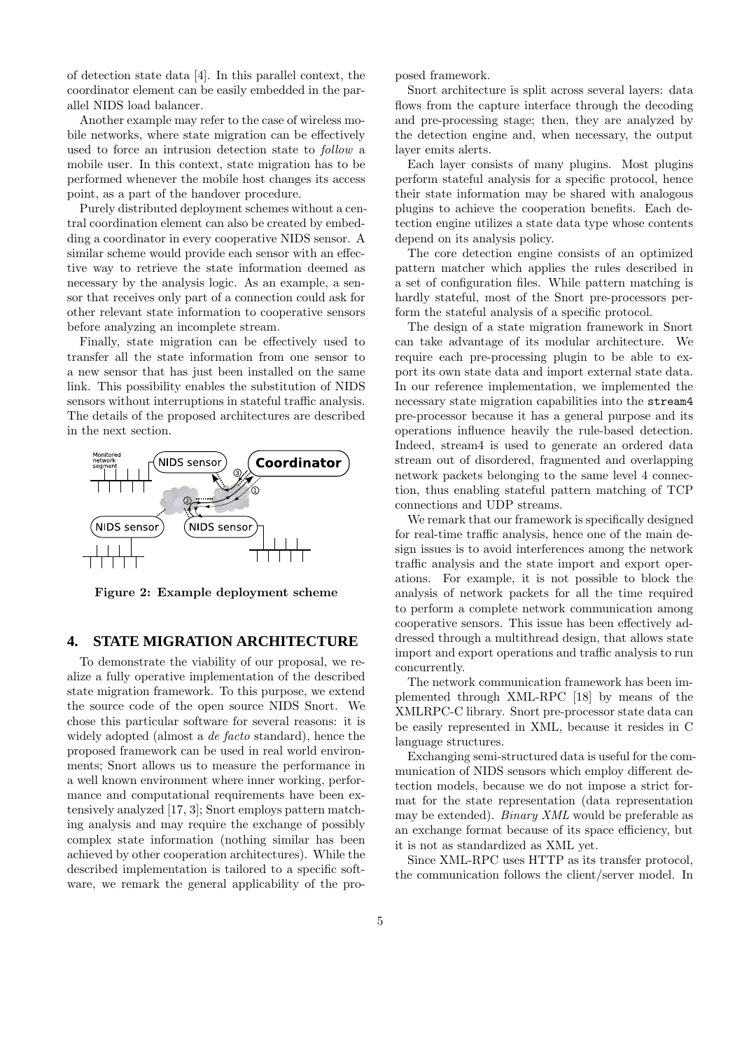of detection state data [4]. In this parallel context, the coordinator element can be easily embedded in the parallel NIDS load balancer.

Another example may refer to the case of wireless mobile networks, where state migration can be effectively used to force an intrusion detection state to follow a mobile user. In this context, state migration has to be performed whenever the mobile host changes its access point, as a part of the handover procedure.

Purely distributed deployment schemes without a central coordination element can also be created by embedding a coordinator in every cooperative NIDS sensor. A similar scheme would provide each sensor with an effective way to retrieve the state information deemed as necessary by the analysis logic. As an example, a sensor that receives only part of a connection could ask for other relevant state information to cooperative sensors before analyzing an incomplete stream.

Finally, state migration can be effectively used to transfer all the state information from one sensor to a new sensor that has just been installed on the same link. This possibility enables the substitution of NIDS sensors without interruptions in stateful traffic analysis. The details of the proposed architectures are described in the next section.



Figure 2: Example deployment scheme

# **4. STATE MIGRATION ARCHITECTURE**

To demonstrate the viability of our proposal, we realize a fully operative implementation of the described state migration framework. To this purpose, we extend the source code of the open source NIDS Snort. We chose this particular software for several reasons: it is widely adopted (almost a de facto standard), hence the proposed framework can be used in real world environments; Snort allows us to measure the performance in a well known environment where inner working, performance and computational requirements have been extensively analyzed [17, 3]; Snort employs pattern matching analysis and may require the exchange of possibly complex state information (nothing similar has been achieved by other cooperation architectures). While the described implementation is tailored to a specific software, we remark the general applicability of the proposed framework.

Snort architecture is split across several layers: data flows from the capture interface through the decoding and pre-processing stage; then, they are analyzed by the detection engine and, when necessary, the output layer emits alerts.

Each layer consists of many plugins. Most plugins perform stateful analysis for a specific protocol, hence their state information may be shared with analogous plugins to achieve the cooperation benefits. Each detection engine utilizes a state data type whose contents depend on its analysis policy.

The core detection engine consists of an optimized pattern matcher which applies the rules described in a set of configuration files. While pattern matching is hardly stateful, most of the Snort pre-processors perform the stateful analysis of a specific protocol.

The design of a state migration framework in Snort can take advantage of its modular architecture. We require each pre-processing plugin to be able to export its own state data and import external state data. In our reference implementation, we implemented the necessary state migration capabilities into the stream4 pre-processor because it has a general purpose and its operations influence heavily the rule-based detection. Indeed, stream4 is used to generate an ordered data stream out of disordered, fragmented and overlapping network packets belonging to the same level 4 connection, thus enabling stateful pattern matching of TCP connections and UDP streams.

We remark that our framework is specifically designed for real-time traffic analysis, hence one of the main design issues is to avoid interferences among the network traffic analysis and the state import and export operations. For example, it is not possible to block the analysis of network packets for all the time required to perform a complete network communication among cooperative sensors. This issue has been effectively addressed through a multithread design, that allows state import and export operations and traffic analysis to run concurrently.

The network communication framework has been implemented through XML-RPC [18] by means of the XMLRPC-C library. Snort pre-processor state data can be easily represented in XML, because it resides in C language structures.

Exchanging semi-structured data is useful for the communication of NIDS sensors which employ different detection models, because we do not impose a strict format for the state representation (data representation may be extended). Binary XML would be preferable as an exchange format because of its space efficiency, but it is not as standardized as XML yet.

Since XML-RPC uses HTTP as its transfer protocol, the communication follows the client/server model. In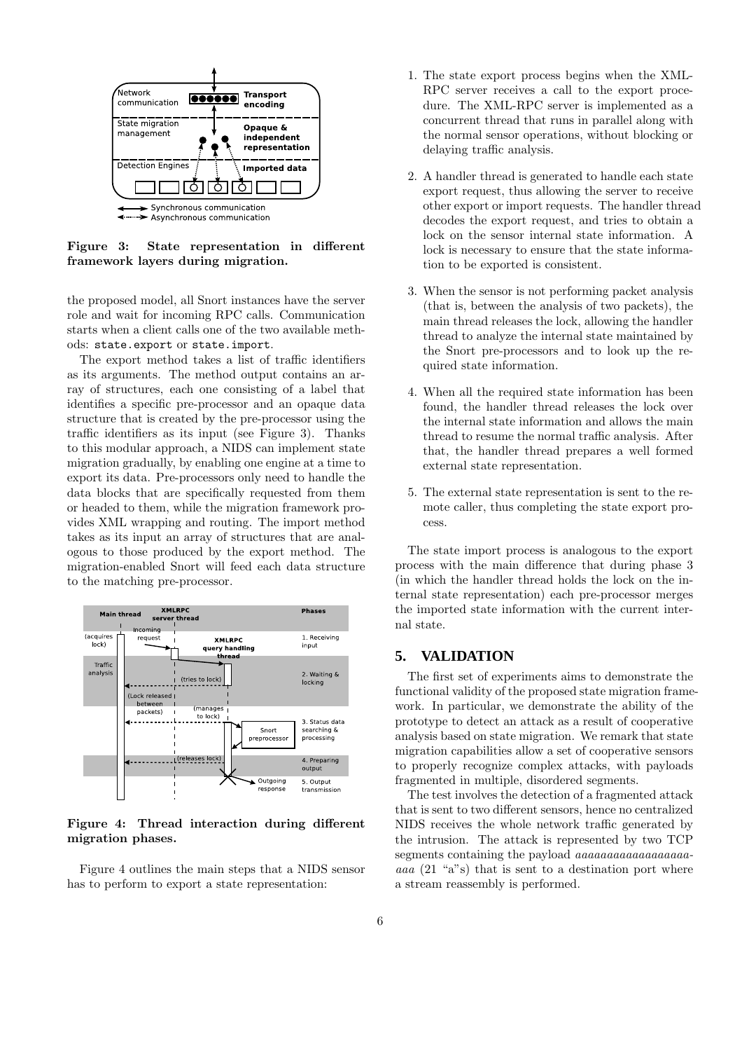

Figure 3: State representation in different framework layers during migration.

the proposed model, all Snort instances have the server role and wait for incoming RPC calls. Communication starts when a client calls one of the two available methods: state.export or state.import.

The export method takes a list of traffic identifiers as its arguments. The method output contains an array of structures, each one consisting of a label that identifies a specific pre-processor and an opaque data structure that is created by the pre-processor using the traffic identifiers as its input (see Figure 3). Thanks to this modular approach, a NIDS can implement state migration gradually, by enabling one engine at a time to export its data. Pre-processors only need to handle the data blocks that are specifically requested from them or headed to them, while the migration framework provides XML wrapping and routing. The import method takes as its input an array of structures that are analogous to those produced by the export method. The migration-enabled Snort will feed each data structure to the matching pre-processor.



Figure 4: Thread interaction during different migration phases.

Figure 4 outlines the main steps that a NIDS sensor has to perform to export a state representation:

- 1. The state export process begins when the XML-RPC server receives a call to the export procedure. The XML-RPC server is implemented as a concurrent thread that runs in parallel along with the normal sensor operations, without blocking or delaying traffic analysis.
- 2. A handler thread is generated to handle each state export request, thus allowing the server to receive other export or import requests. The handler thread decodes the export request, and tries to obtain a lock on the sensor internal state information. A lock is necessary to ensure that the state information to be exported is consistent.
- 3. When the sensor is not performing packet analysis (that is, between the analysis of two packets), the main thread releases the lock, allowing the handler thread to analyze the internal state maintained by the Snort pre-processors and to look up the required state information.
- 4. When all the required state information has been found, the handler thread releases the lock over the internal state information and allows the main thread to resume the normal traffic analysis. After that, the handler thread prepares a well formed external state representation.
- 5. The external state representation is sent to the remote caller, thus completing the state export process.

The state import process is analogous to the export process with the main difference that during phase 3 (in which the handler thread holds the lock on the internal state representation) each pre-processor merges the imported state information with the current internal state.

# **5. VALIDATION**

The first set of experiments aims to demonstrate the functional validity of the proposed state migration framework. In particular, we demonstrate the ability of the prototype to detect an attack as a result of cooperative analysis based on state migration. We remark that state migration capabilities allow a set of cooperative sensors to properly recognize complex attacks, with payloads fragmented in multiple, disordered segments.

The test involves the detection of a fragmented attack that is sent to two different sensors, hence no centralized NIDS receives the whole network traffic generated by the intrusion. The attack is represented by two TCP segments containing the payload *aaaaaaaaaaaaaaaaaa* aaa (21 "a"s) that is sent to a destination port where a stream reassembly is performed.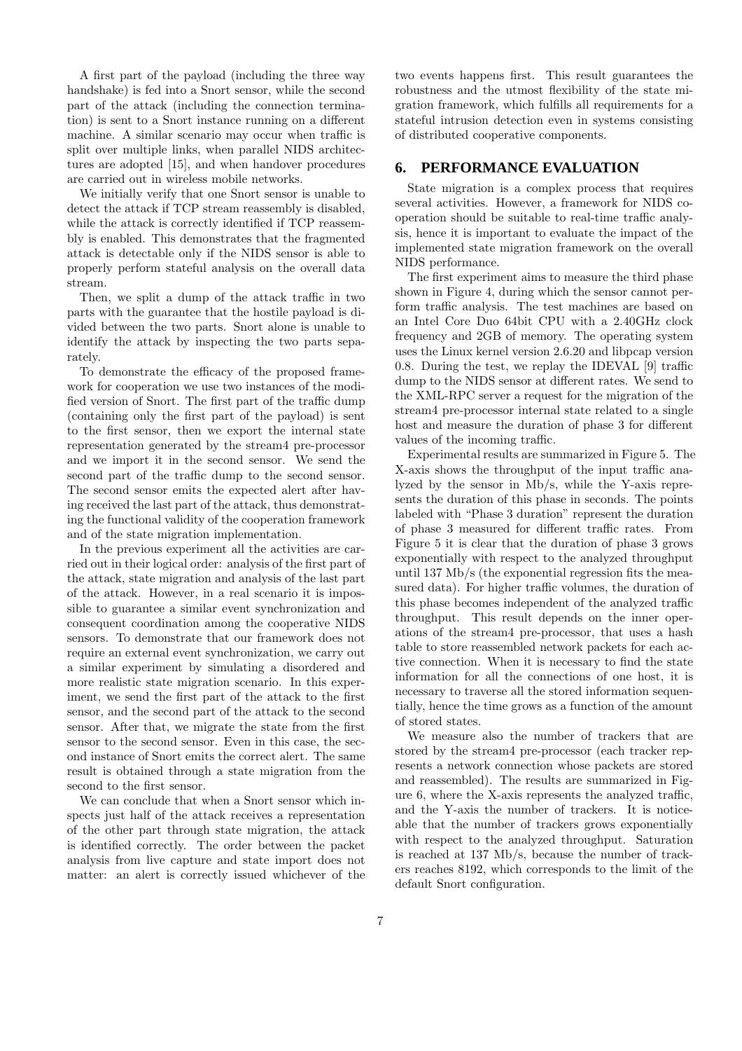A first part of the payload (including the three way handshake) is fed into a Snort sensor, while the second part of the attack (including the connection termination) is sent to a Snort instance running on a different machine. A similar scenario may occur when traffic is split over multiple links, when parallel NIDS architectures are adopted [15], and when handover procedures are carried out in wireless mobile networks.

We initially verify that one Snort sensor is unable to detect the attack if TCP stream reassembly is disabled, while the attack is correctly identified if TCP reassembly is enabled. This demonstrates that the fragmented attack is detectable only if the NIDS sensor is able to properly perform stateful analysis on the overall data stream.

Then, we split a dump of the attack traffic in two parts with the guarantee that the hostile payload is divided between the two parts. Snort alone is unable to identify the attack by inspecting the two parts separately.

To demonstrate the efficacy of the proposed framework for cooperation we use two instances of the modified version of Snort. The first part of the traffic dump (containing only the first part of the payload) is sent to the first sensor, then we export the internal state representation generated by the stream4 pre-processor and we import it in the second sensor. We send the second part of the traffic dump to the second sensor. The second sensor emits the expected alert after having received the last part of the attack, thus demonstrating the functional validity of the cooperation framework and of the state migration implementation.

In the previous experiment all the activities are carried out in their logical order: analysis of the first part of the attack, state migration and analysis of the last part of the attack. However, in a real scenario it is impossible to guarantee a similar event synchronization and consequent coordination among the cooperative NIDS sensors. To demonstrate that our framework does not require an external event synchronization, we carry out a similar experiment by simulating a disordered and more realistic state migration scenario. In this experiment, we send the first part of the attack to the first sensor, and the second part of the attack to the second sensor. After that, we migrate the state from the first sensor to the second sensor. Even in this case, the second instance of Snort emits the correct alert. The same result is obtained through a state migration from the second to the first sensor.

We can conclude that when a Snort sensor which inspects just half of the attack receives a representation of the other part through state migration, the attack is identified correctly. The order between the packet analysis from live capture and state import does not matter: an alert is correctly issued whichever of the

two events happens first. This result guarantees the robustness and the utmost flexibility of the state migration framework, which fulfills all requirements for a stateful intrusion detection even in systems consisting of distributed cooperative components.

#### **6. PERFORMANCE EVALUATION**

State migration is a complex process that requires several activities. However, a framework for NIDS cooperation should be suitable to real-time traffic analysis, hence it is important to evaluate the impact of the implemented state migration framework on the overall NIDS performance.

The first experiment aims to measure the third phase shown in Figure 4, during which the sensor cannot perform traffic analysis. The test machines are based on an Intel Core Duo 64bit CPU with a 2.40GHz clock frequency and 2GB of memory. The operating system uses the Linux kernel version 2.6.20 and libpcap version 0.8. During the test, we replay the IDEVAL [9] traffic dump to the NIDS sensor at different rates. We send to the XML-RPC server a request for the migration of the stream4 pre-processor internal state related to a single host and measure the duration of phase 3 for different values of the incoming traffic.

Experimental results are summarized in Figure 5. The X-axis shows the throughput of the input traffic analyzed by the sensor in Mb/s, while the Y-axis represents the duration of this phase in seconds. The points labeled with "Phase 3 duration" represent the duration of phase 3 measured for different traffic rates. From Figure 5 it is clear that the duration of phase 3 grows exponentially with respect to the analyzed throughput until 137 Mb/s (the exponential regression fits the measured data). For higher traffic volumes, the duration of this phase becomes independent of the analyzed traffic throughput. This result depends on the inner operations of the stream4 pre-processor, that uses a hash table to store reassembled network packets for each active connection. When it is necessary to find the state information for all the connections of one host, it is necessary to traverse all the stored information sequentially, hence the time grows as a function of the amount of stored states.

We measure also the number of trackers that are stored by the stream4 pre-processor (each tracker represents a network connection whose packets are stored and reassembled). The results are summarized in Figure 6, where the X-axis represents the analyzed traffic, and the Y-axis the number of trackers. It is noticeable that the number of trackers grows exponentially with respect to the analyzed throughput. Saturation is reached at 137 Mb/s, because the number of trackers reaches 8192, which corresponds to the limit of the default Snort configuration.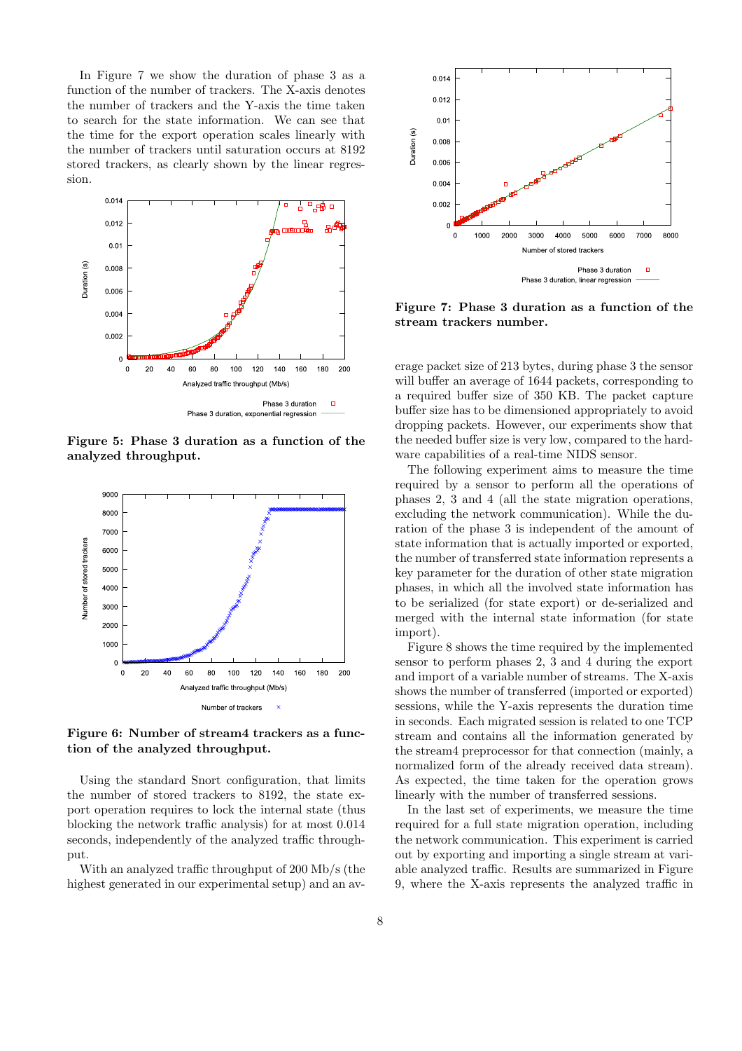In Figure 7 we show the duration of phase 3 as a function of the number of trackers. The X-axis denotes the number of trackers and the Y-axis the time taken to search for the state information. We can see that the time for the export operation scales linearly with the number of trackers until saturation occurs at 8192 stored trackers, as clearly shown by the linear regression.



Figure 5: Phase 3 duration as a function of the analyzed throughput.



Figure 6: Number of stream4 trackers as a function of the analyzed throughput.

Using the standard Snort configuration, that limits the number of stored trackers to 8192, the state export operation requires to lock the internal state (thus blocking the network traffic analysis) for at most 0.014 seconds, independently of the analyzed traffic throughput.

With an analyzed traffic throughput of 200 Mb/s (the highest generated in our experimental setup) and an av-



Figure 7: Phase 3 duration as a function of the stream trackers number.

erage packet size of 213 bytes, during phase 3 the sensor will buffer an average of 1644 packets, corresponding to a required buffer size of 350 KB. The packet capture buffer size has to be dimensioned appropriately to avoid dropping packets. However, our experiments show that the needed buffer size is very low, compared to the hardware capabilities of a real-time NIDS sensor.

The following experiment aims to measure the time required by a sensor to perform all the operations of phases 2, 3 and 4 (all the state migration operations, excluding the network communication). While the duration of the phase 3 is independent of the amount of state information that is actually imported or exported, the number of transferred state information represents a key parameter for the duration of other state migration phases, in which all the involved state information has to be serialized (for state export) or de-serialized and merged with the internal state information (for state import).

Figure 8 shows the time required by the implemented sensor to perform phases 2, 3 and 4 during the export and import of a variable number of streams. The X-axis shows the number of transferred (imported or exported) sessions, while the Y-axis represents the duration time in seconds. Each migrated session is related to one TCP stream and contains all the information generated by the stream4 preprocessor for that connection (mainly, a normalized form of the already received data stream). As expected, the time taken for the operation grows linearly with the number of transferred sessions.

In the last set of experiments, we measure the time required for a full state migration operation, including the network communication. This experiment is carried out by exporting and importing a single stream at variable analyzed traffic. Results are summarized in Figure 9, where the X-axis represents the analyzed traffic in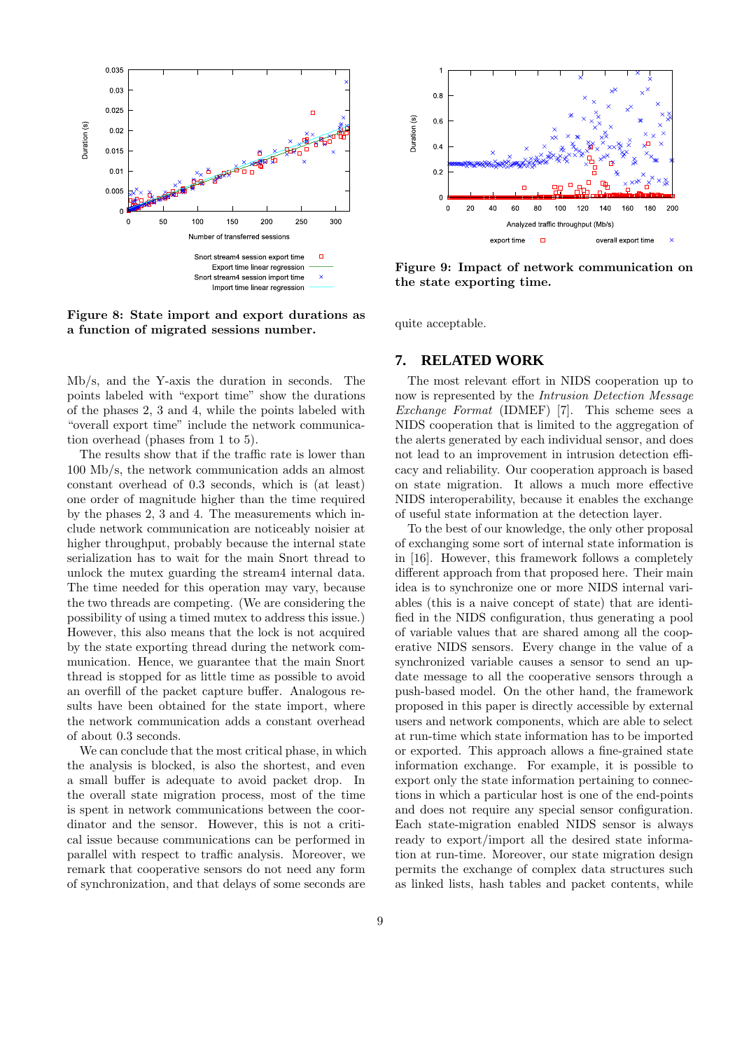

Figure 8: State import and export durations as a function of migrated sessions number.

Mb/s, and the Y-axis the duration in seconds. The points labeled with "export time" show the durations of the phases 2, 3 and 4, while the points labeled with "overall export time" include the network communication overhead (phases from 1 to 5).

The results show that if the traffic rate is lower than 100 Mb/s, the network communication adds an almost constant overhead of 0.3 seconds, which is (at least) one order of magnitude higher than the time required by the phases 2, 3 and 4. The measurements which include network communication are noticeably noisier at higher throughput, probably because the internal state serialization has to wait for the main Snort thread to unlock the mutex guarding the stream4 internal data. The time needed for this operation may vary, because the two threads are competing. (We are considering the possibility of using a timed mutex to address this issue.) However, this also means that the lock is not acquired by the state exporting thread during the network communication. Hence, we guarantee that the main Snort thread is stopped for as little time as possible to avoid an overfill of the packet capture buffer. Analogous results have been obtained for the state import, where the network communication adds a constant overhead of about 0.3 seconds.

We can conclude that the most critical phase, in which the analysis is blocked, is also the shortest, and even a small buffer is adequate to avoid packet drop. In the overall state migration process, most of the time is spent in network communications between the coordinator and the sensor. However, this is not a critical issue because communications can be performed in parallel with respect to traffic analysis. Moreover, we remark that cooperative sensors do not need any form of synchronization, and that delays of some seconds are



Figure 9: Impact of network communication on the state exporting time.

quite acceptable.

#### **7. RELATED WORK**

The most relevant effort in NIDS cooperation up to now is represented by the Intrusion Detection Message Exchange Format (IDMEF) [7]. This scheme sees a NIDS cooperation that is limited to the aggregation of the alerts generated by each individual sensor, and does not lead to an improvement in intrusion detection efficacy and reliability. Our cooperation approach is based on state migration. It allows a much more effective NIDS interoperability, because it enables the exchange of useful state information at the detection layer.

To the best of our knowledge, the only other proposal of exchanging some sort of internal state information is in [16]. However, this framework follows a completely different approach from that proposed here. Their main idea is to synchronize one or more NIDS internal variables (this is a naive concept of state) that are identified in the NIDS configuration, thus generating a pool of variable values that are shared among all the cooperative NIDS sensors. Every change in the value of a synchronized variable causes a sensor to send an update message to all the cooperative sensors through a push-based model. On the other hand, the framework proposed in this paper is directly accessible by external users and network components, which are able to select at run-time which state information has to be imported or exported. This approach allows a fine-grained state information exchange. For example, it is possible to export only the state information pertaining to connections in which a particular host is one of the end-points and does not require any special sensor configuration. Each state-migration enabled NIDS sensor is always ready to export/import all the desired state information at run-time. Moreover, our state migration design permits the exchange of complex data structures such as linked lists, hash tables and packet contents, while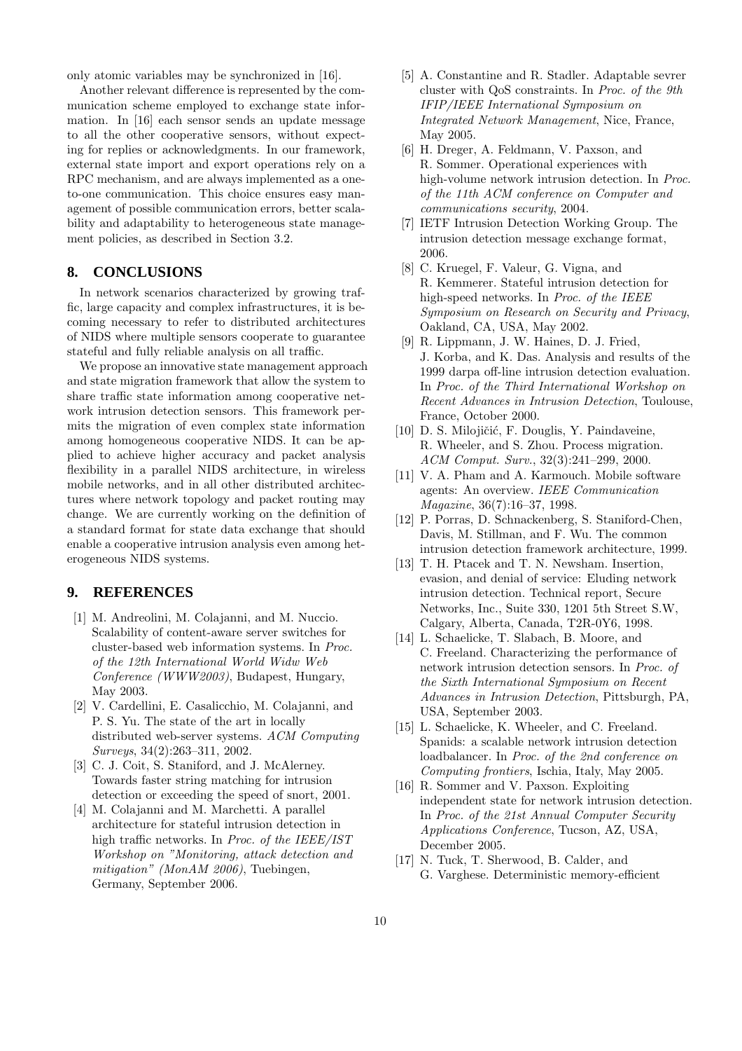only atomic variables may be synchronized in [16].

Another relevant difference is represented by the communication scheme employed to exchange state information. In [16] each sensor sends an update message to all the other cooperative sensors, without expecting for replies or acknowledgments. In our framework, external state import and export operations rely on a RPC mechanism, and are always implemented as a oneto-one communication. This choice ensures easy management of possible communication errors, better scalability and adaptability to heterogeneous state management policies, as described in Section 3.2.

# **8. CONCLUSIONS**

In network scenarios characterized by growing traffic, large capacity and complex infrastructures, it is becoming necessary to refer to distributed architectures of NIDS where multiple sensors cooperate to guarantee stateful and fully reliable analysis on all traffic.

We propose an innovative state management approach and state migration framework that allow the system to share traffic state information among cooperative network intrusion detection sensors. This framework permits the migration of even complex state information among homogeneous cooperative NIDS. It can be applied to achieve higher accuracy and packet analysis flexibility in a parallel NIDS architecture, in wireless mobile networks, and in all other distributed architectures where network topology and packet routing may change. We are currently working on the definition of a standard format for state data exchange that should enable a cooperative intrusion analysis even among heterogeneous NIDS systems.

#### **9. REFERENCES**

- [1] M. Andreolini, M. Colajanni, and M. Nuccio. Scalability of content-aware server switches for cluster-based web information systems. In Proc. of the 12th International World Widw Web Conference (WWW2003), Budapest, Hungary, May 2003.
- [2] V. Cardellini, E. Casalicchio, M. Colajanni, and P. S. Yu. The state of the art in locally distributed web-server systems. ACM Computing Surveys, 34(2):263–311, 2002.
- [3] C. J. Coit, S. Staniford, and J. McAlerney. Towards faster string matching for intrusion detection or exceeding the speed of snort, 2001.
- [4] M. Colajanni and M. Marchetti. A parallel architecture for stateful intrusion detection in high traffic networks. In Proc. of the IEEE/IST Workshop on "Monitoring, attack detection and mitigation" (MonAM 2006), Tuebingen, Germany, September 2006.
- [5] A. Constantine and R. Stadler. Adaptable sevrer cluster with QoS constraints. In Proc. of the 9th IFIP/IEEE International Symposium on Integrated Network Management, Nice, France, May 2005.
- [6] H. Dreger, A. Feldmann, V. Paxson, and R. Sommer. Operational experiences with high-volume network intrusion detection. In Proc. of the 11th ACM conference on Computer and communications security, 2004.
- [7] IETF Intrusion Detection Working Group. The intrusion detection message exchange format, 2006.
- [8] C. Kruegel, F. Valeur, G. Vigna, and R. Kemmerer. Stateful intrusion detection for high-speed networks. In Proc. of the IEEE Symposium on Research on Security and Privacy, Oakland, CA, USA, May 2002.
- [9] R. Lippmann, J. W. Haines, D. J. Fried, J. Korba, and K. Das. Analysis and results of the 1999 darpa off-line intrusion detection evaluation. In Proc. of the Third International Workshop on Recent Advances in Intrusion Detection, Toulouse, France, October 2000.
- [10] D. S. Milojičić, F. Douglis, Y. Paindaveine, R. Wheeler, and S. Zhou. Process migration. ACM Comput. Surv., 32(3):241–299, 2000.
- [11] V. A. Pham and A. Karmouch. Mobile software agents: An overview. IEEE Communication Magazine, 36(7):16–37, 1998.
- [12] P. Porras, D. Schnackenberg, S. Staniford-Chen, Davis, M. Stillman, and F. Wu. The common intrusion detection framework architecture, 1999.
- [13] T. H. Ptacek and T. N. Newsham. Insertion, evasion, and denial of service: Eluding network intrusion detection. Technical report, Secure Networks, Inc., Suite 330, 1201 5th Street S.W, Calgary, Alberta, Canada, T2R-0Y6, 1998.
- [14] L. Schaelicke, T. Slabach, B. Moore, and C. Freeland. Characterizing the performance of network intrusion detection sensors. In Proc. of the Sixth International Symposium on Recent Advances in Intrusion Detection, Pittsburgh, PA, USA, September 2003.
- [15] L. Schaelicke, K. Wheeler, and C. Freeland. Spanids: a scalable network intrusion detection loadbalancer. In Proc. of the 2nd conference on Computing frontiers, Ischia, Italy, May 2005.
- [16] R. Sommer and V. Paxson. Exploiting independent state for network intrusion detection. In Proc. of the 21st Annual Computer Security Applications Conference, Tucson, AZ, USA, December 2005.
- [17] N. Tuck, T. Sherwood, B. Calder, and G. Varghese. Deterministic memory-efficient